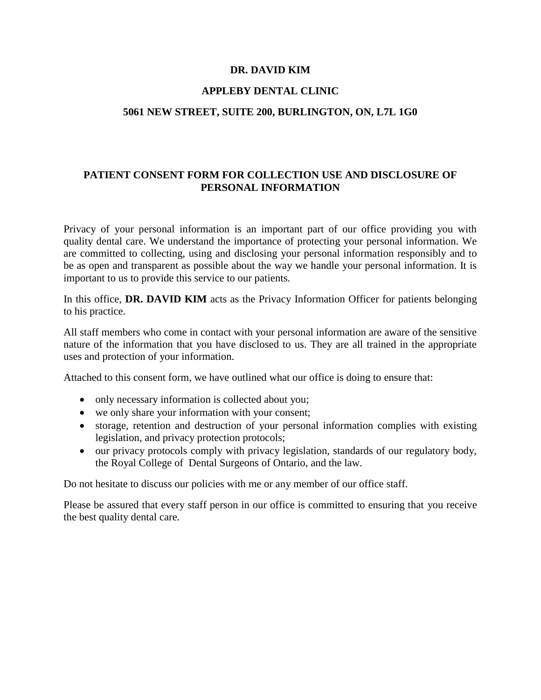## **DR. DAVID KIM**

## **APPLEBY DENTAL CLINIC**

### **5061 NEW STREET, SUITE 200, BURLINGTON, ON, L7L 1G0**

# **PATIENT CONSENT FORM FOR COLLECTION USE AND DISCLOSURE OF PERSONAL INFORMATION**

Privacy of your personal information is an important part of our office providing you with quality dental care. We understand the importance of protecting your personal information. We are committed to collecting, using and disclosing your personal information responsibly and to be as open and transparent as possible about the way we handle your personal information. It is important to us to provide this service to our patients.

In this office, **DR. DAVID KIM** acts as the Privacy Information Officer for patients belonging to his practice.

All staff members who come in contact with your personal information are aware of the sensitive nature of the information that you have disclosed to us. They are all trained in the appropriate uses and protection of your information.

Attached to this consent form, we have outlined what our office is doing to ensure that:

- only necessary information is collected about you;
- we only share your information with your consent;
- storage, retention and destruction of your personal information complies with existing legislation, and privacy protection protocols;
- our privacy protocols comply with privacy legislation, standards of our regulatory body, the Royal College of Dental Surgeons of Ontario, and the law.

Do not hesitate to discuss our policies with me or any member of our office staff.

Please be assured that every staff person in our office is committed to ensuring that you receive the best quality dental care.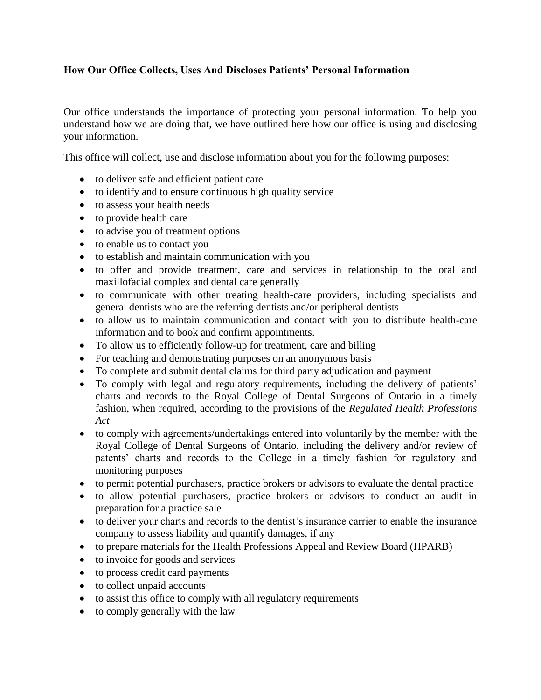# **How Our Office Collects, Uses And Discloses Patients' Personal Information**

Our office understands the importance of protecting your personal information. To help you understand how we are doing that, we have outlined here how our office is using and disclosing your information.

This office will collect, use and disclose information about you for the following purposes:

- to deliver safe and efficient patient care
- to identify and to ensure continuous high quality service
- to assess your health needs
- to provide health care
- to advise you of treatment options
- to enable us to contact you
- to establish and maintain communication with you
- to offer and provide treatment, care and services in relationship to the oral and maxillofacial complex and dental care generally
- to communicate with other treating health-care providers, including specialists and general dentists who are the referring dentists and/or peripheral dentists
- to allow us to maintain communication and contact with you to distribute health-care information and to book and confirm appointments.
- To allow us to efficiently follow-up for treatment, care and billing
- For teaching and demonstrating purposes on an anonymous basis
- To complete and submit dental claims for third party adjudication and payment
- To comply with legal and regulatory requirements, including the delivery of patients' charts and records to the Royal College of Dental Surgeons of Ontario in a timely fashion, when required, according to the provisions of the *Regulated Health Professions Act*
- to comply with agreements/undertakings entered into voluntarily by the member with the Royal College of Dental Surgeons of Ontario, including the delivery and/or review of patents' charts and records to the College in a timely fashion for regulatory and monitoring purposes
- to permit potential purchasers, practice brokers or advisors to evaluate the dental practice
- to allow potential purchasers, practice brokers or advisors to conduct an audit in preparation for a practice sale
- to deliver your charts and records to the dentist's insurance carrier to enable the insurance company to assess liability and quantify damages, if any
- to prepare materials for the Health Professions Appeal and Review Board (HPARB)
- to invoice for goods and services
- to process credit card payments
- to collect unpaid accounts
- to assist this office to comply with all regulatory requirements
- to comply generally with the law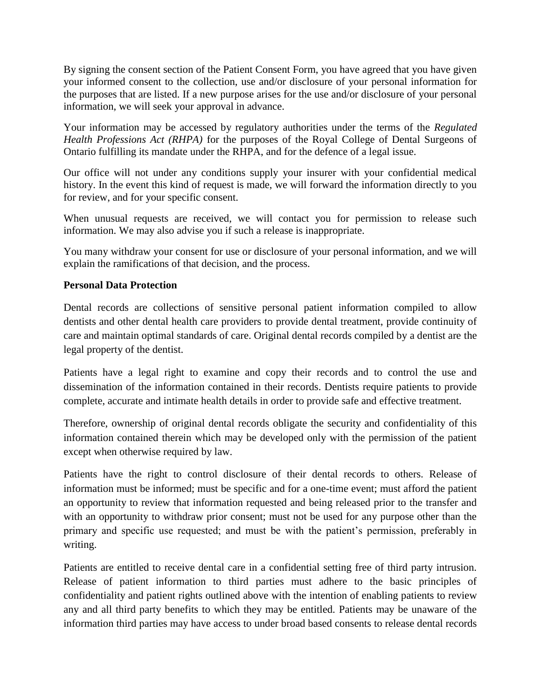By signing the consent section of the Patient Consent Form, you have agreed that you have given your informed consent to the collection, use and/or disclosure of your personal information for the purposes that are listed. If a new purpose arises for the use and/or disclosure of your personal information, we will seek your approval in advance.

Your information may be accessed by regulatory authorities under the terms of the *Regulated Health Professions Act (RHPA)* for the purposes of the Royal College of Dental Surgeons of Ontario fulfilling its mandate under the RHPA, and for the defence of a legal issue.

Our office will not under any conditions supply your insurer with your confidential medical history. In the event this kind of request is made, we will forward the information directly to you for review, and for your specific consent.

When unusual requests are received, we will contact you for permission to release such information. We may also advise you if such a release is inappropriate.

You many withdraw your consent for use or disclosure of your personal information, and we will explain the ramifications of that decision, and the process.

## **Personal Data Protection**

Dental records are collections of sensitive personal patient information compiled to allow dentists and other dental health care providers to provide dental treatment, provide continuity of care and maintain optimal standards of care. Original dental records compiled by a dentist are the legal property of the dentist.

Patients have a legal right to examine and copy their records and to control the use and dissemination of the information contained in their records. Dentists require patients to provide complete, accurate and intimate health details in order to provide safe and effective treatment.

Therefore, ownership of original dental records obligate the security and confidentiality of this information contained therein which may be developed only with the permission of the patient except when otherwise required by law.

Patients have the right to control disclosure of their dental records to others. Release of information must be informed; must be specific and for a one-time event; must afford the patient an opportunity to review that information requested and being released prior to the transfer and with an opportunity to withdraw prior consent; must not be used for any purpose other than the primary and specific use requested; and must be with the patient's permission, preferably in writing.

Patients are entitled to receive dental care in a confidential setting free of third party intrusion. Release of patient information to third parties must adhere to the basic principles of confidentiality and patient rights outlined above with the intention of enabling patients to review any and all third party benefits to which they may be entitled. Patients may be unaware of the information third parties may have access to under broad based consents to release dental records